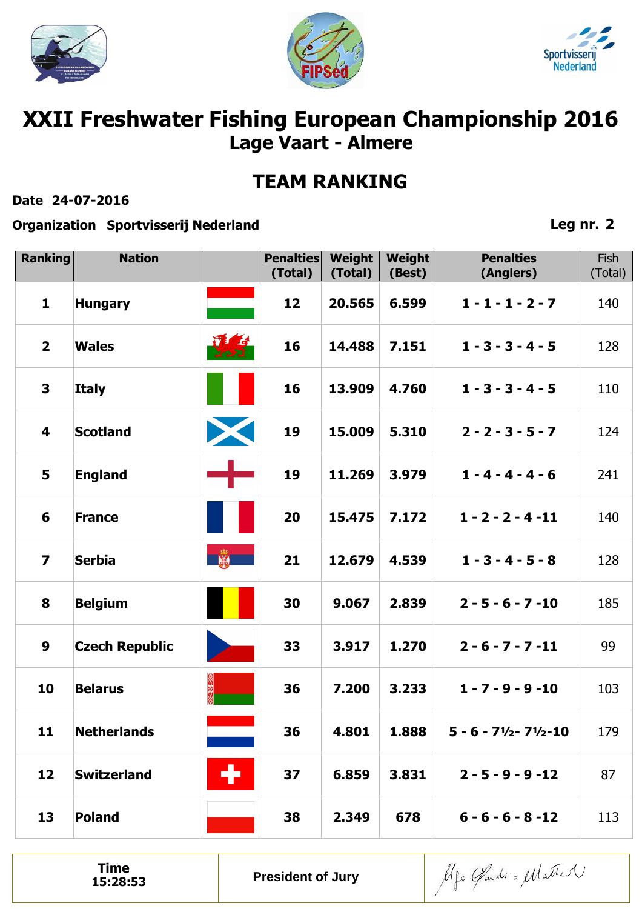





# **XXII Freshwater Fishing European Championship 2016 Lage Vaart - Almere**

## **TEAM RANKING**

#### **Date 24-07-2016**

**Organization Sportvisserij Nederland**

### **Leg nr. 2**

| <b>Ranking</b>          | <b>Nation</b>         |                     | <b>Penalties</b><br>(Total) | Weight<br>(Total) | Weight<br>(Best) | <b>Penalties</b><br>(Anglers)                                                 | Fish<br>(Total) |
|-------------------------|-----------------------|---------------------|-----------------------------|-------------------|------------------|-------------------------------------------------------------------------------|-----------------|
| $\mathbf{1}$            | <b>Hungary</b>        |                     | 12                          | 20.565            | 6.599            | $1 - 1 - 1 - 2 - 7$                                                           | 140             |
| $\overline{\mathbf{2}}$ | <b>Wales</b>          | <b>Wilde</b><br>751 | 16                          | 14.488            | 7.151            | $1 - 3 - 3 - 4 - 5$                                                           | 128             |
| 3                       | <b>Italy</b>          |                     | 16                          | 13.909            | 4.760            | $1 - 3 - 3 - 4 - 5$                                                           | 110             |
| $\overline{\mathbf{4}}$ | <b>Scotland</b>       | X                   | 19                          | 15.009            | 5.310            | $2 - 2 - 3 - 5 - 7$                                                           | 124             |
| 5                       | <b>England</b>        |                     | 19                          | 11.269            | 3.979            | $1 - 4 - 4 - 4 - 6$                                                           | 241             |
| 6                       | <b>France</b>         |                     | 20                          | 15.475            | 7.172            | $1 - 2 - 2 - 4 - 11$                                                          | 140             |
| $\overline{\mathbf{z}}$ | <b>Serbia</b>         |                     | 21                          | 12.679            | 4.539            | $1 - 3 - 4 - 5 - 8$                                                           | 128             |
| 8                       | <b>Belgium</b>        |                     | 30                          | 9.067             | 2.839            | $2 - 5 - 6 - 7 - 10$                                                          | 185             |
| $\boldsymbol{9}$        | <b>Czech Republic</b> |                     | 33                          | 3.917             | 1.270            | $2 - 6 - 7 - 7 - 11$                                                          | 99              |
| 10                      | <b>Belarus</b>        |                     | 36                          | 7.200             | 3.233            | $1 - 7 - 9 - 9 - 10$                                                          | 103             |
| 11                      | <b>Netherlands</b>    |                     | 36                          | 4.801             | 1.888            | $5 - 6 - 7$ <sup>1</sup> / <sub>2</sub> - $7$ <sup>1</sup> / <sub>2</sub> -10 | 179             |
| 12                      | <b>Switzerland</b>    | ÷                   | 37                          | 6.859             | 3.831            | $2 - 5 - 9 - 9 - 12$                                                          | 87              |
| 13                      | <b>Poland</b>         |                     | 38                          | 2.349             | 678              | $6 - 6 - 6 - 8 - 12$                                                          | 113             |

**Time**<br>15:28:53

**President of Jury** 

Alfo Gardi o Matter